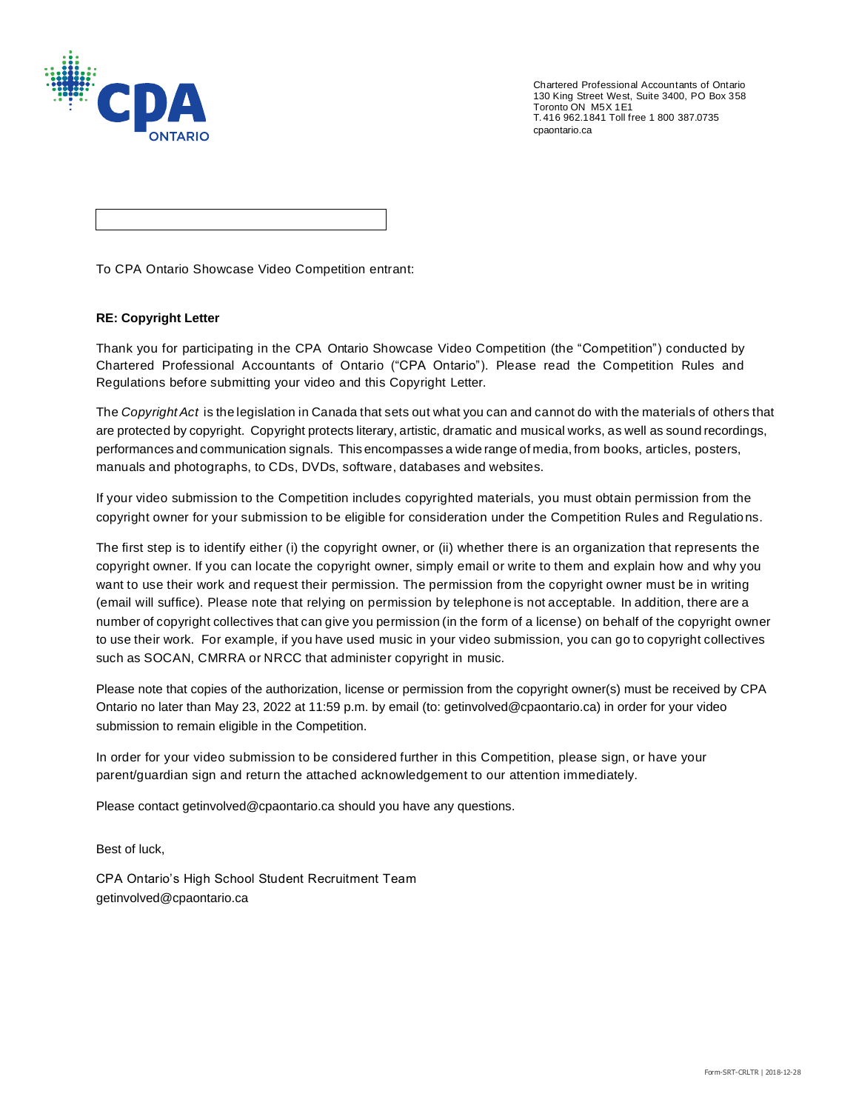

Chartered Professional Accountants of Ontario 130 King Street West, Suite 3400, PO Box 358 Toronto ON M5X 1E1 T. 416 962.1841 Toll free 1 800 387.0735 cpaontario.ca

To CPA Ontario Showcase Video Competition entrant:

## **RE: Copyright Letter**

Thank you for participating in the CPA Ontario Showcase Video Competition (the "Competition") conducted by Chartered Professional Accountants of Ontario ("CPA Ontario"). Please read the Competition Rules and Regulations before submitting your video and this Copyright Letter.

The *Copyright Act* is the legislation in Canada that sets out what you can and cannot do with the materials of others that are protected by copyright. Copyright protects literary, artistic, dramatic and musical works, as well as sound recordings, performances and communication signals. This encompasses a wide range of media, from books, articles, posters, manuals and photographs, to CDs, DVDs, software, databases and websites.

If your video submission to the Competition includes copyrighted materials, you must obtain permission from the copyright owner for your submission to be eligible for consideration under the Competition Rules and Regulations.

The first step is to identify either (i) the copyright owner, or (ii) whether there is an organization that represents the copyright owner. If you can locate the copyright owner, simply email or write to them and explain how and why you want to use their work and request their permission. The permission from the copyright owner must be in writing (email will suffice). Please note that relying on permission by telephone is not acceptable. In addition, there are a number of copyright collectives that can give you permission (in the form of a license) on behalf of the copyright owner to use their work. For example, if you have used music in your video submission, you can go to copyright collectives such as SOCAN, CMRRA or NRCC that administer copyright in music.

Please note that copies of the authorization, license or permission from the copyright owner(s) must be received by CPA Ontario no later than May 23, 2022 at 11:59 p.m. by email (to: getinvolved@cpaontario.ca) in order for your video submission to remain eligible in the Competition.

In order for your video submission to be considered further in this Competition, please sign, or have your parent/guardian sign and return the attached acknowledgement to our attention immediately.

Please contact getinvolved@cpaontario.ca should you have any questions.

Best of luck,

CPA Ontario's High School Student Recruitment Team getinvolved@cpaontario.ca